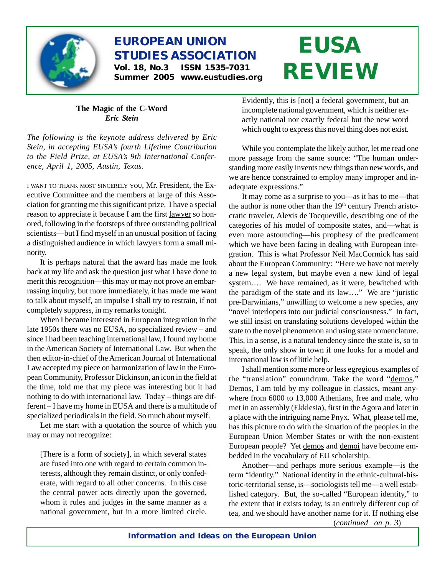

# **EUROPEAN UNION STUDIES ASSOCIATION Vol. 18, No.3 ISSN 1535-7031**

**Summer 2005 www.eustudies.org**

# **EUSA REVIEW**

#### **The Magic of the C-Word** *Eric Stein*

*The following is the keynote address delivered by Eric Stein, in accepting EUSA's fourth Lifetime Contribution to the Field Prize, at EUSA's 9th International Conference, April 1, 2005, Austin, Texas.*

<sup>I</sup> WANT TO THANK MOST SINCERELY YOU, Mr. President, the Executive Committee and the members at large of this Association for granting me this significant prize. I have a special reason to appreciate it because I am the first lawyer so honored, following in the footsteps of three outstanding political scientists—but I find myself in an unusual position of facing a distinguished audience in which lawyers form a small minority.

It is perhaps natural that the award has made me look back at my life and ask the question just what I have done to merit this recognition—this may or may not prove an embarrassing inquiry, but more immediately, it has made me want to talk about myself, an impulse I shall try to restrain, if not completely suppress, in my remarks tonight.

When I became interested in European integration in the late 1950s there was no EUSA, no specialized review – and since I had been teaching international law, I found my home in the American Society of International Law. But when the then editor-in-chief of the American Journal of International Law accepted my piece on harmonization of law in the European Community, Professor Dickinson, an icon in the field at the time, told me that my piece was interesting but it had nothing to do with international law. Today – things are different – I have my home in EUSA and there is a multitude of specialized periodicals in the field. So much about myself.

Let me start with a quotation the source of which you may or may not recognize:

[There is a form of society], in which several states are fused into one with regard to certain common interests, although they remain distinct, or only confederate, with regard to all other concerns. In this case the central power acts directly upon the governed, whom it rules and judges in the same manner as a national government, but in a more limited circle. Evidently, this is [not] a federal government, but an incomplete national government, which is neither exactly national nor exactly federal but the new word which ought to express this novel thing does not exist.

While you contemplate the likely author, let me read one more passage from the same source: "The human understanding more easily invents new things than new words, and we are hence constrained to employ many improper and inadequate expressions."

It may come as a surprise to you—as it has to me—that the author is none other than the  $19<sup>th</sup>$  century French aristocratic traveler, Alexis de Tocqueville, describing one of the categories of his model of composite states, and—what is even more astounding—his prophesy of the predicament which we have been facing in dealing with European integration. This is what Professor Neil MacCormick has said about the European Community: "Here we have not merely a new legal system, but maybe even a new kind of legal system…. We have remained, as it were, bewitched with the paradigm of the state and its law…." We are "juristic pre-Darwinians," unwilling to welcome a new species, any "novel interlopers into our judicial consciousness." In fact, we still insist on translating solutions developed within the state to the novel phenomenon and using state nomenclature. This, in a sense, is a natural tendency since the state is, so to speak, the only show in town if one looks for a model and international law is of little help.

I shall mention some more or less egregious examples of the "translation" conundrum. Take the word "demos." Demos, I am told by my colleague in classics, meant anywhere from 6000 to 13,000 Athenians, free and male, who met in an assembly (Ekklesia), first in the Agora and later in a place with the intriguing name Pnyx. What, please tell me, has this picture to do with the situation of the peoples in the European Union Member States or with the non-existent European people? Yet demos and demoi have become embedded in the vocabulary of EU scholarship.

Another—and perhaps more serious example—is the term "identity." National identity in the ethnic-cultural-historic-territorial sense, is—sociologists tell me—a well established category. But, the so-called "European identity," to the extent that it exists today, is an entirely different cup of tea, and we should have another name for it. If nothing else

(*continued on p. 3*)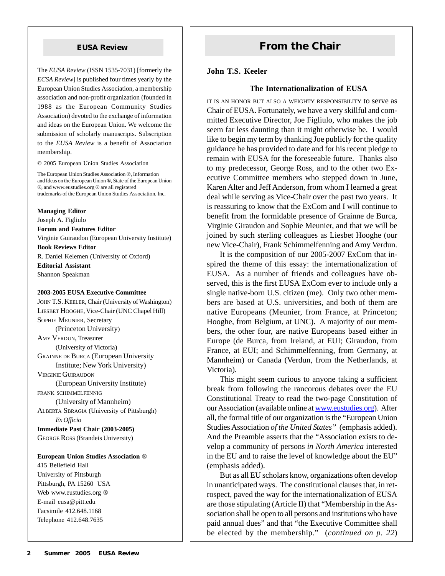The *EUSA Review* (ISSN 1535-7031) [formerly the *ECSA Review*] is published four times yearly by the European Union Studies Association, a membership association and non-profit organization (founded in 1988 as the European Community Studies Association) devoted to the exchange of information and ideas on the European Union. We welcome the submission of scholarly manuscripts. Subscription to the *EUSA Review* is a benefit of Association membership.

© 2005 European Union Studies Association

The European Union Studies Association ®, Information and Ideas on the European Union ®, State of the European Union ®, and www.eustudies.org ® are all registered trademarks of the European Union Studies Association, Inc.

**Managing Editor** Joseph A. Figliulo **Forum and Features Editor** Virginie Guiraudon (European University Institute) **Book Reviews Editor** R. Daniel Kelemen (University of Oxford) **Editorial Assistant** Shannon Speakman

#### **2003-2005 EUSA Executive Committee**

JOHN T.S. KEELER, Chair (University of Washington) LIESBET HOOGHE, Vice-Chair (UNC Chapel Hill) SOPHIE MEUNIER, Secretary (Princeton University) AMY VERDUN, Treasurer (University of Victoria) GRAINNE DE BURCA (European University Institute; New York University) VIRGINIE GUIRAUDON (European University Institute) FRANK SCHIMMELFENNIG (University of Mannheim) ALBERTA SBRAGIA (University of Pittsburgh) *Ex Officio* **Immediate Past Chair (2003-2005)** GEORGE ROSS (Brandeis University) **European Union Studies Association** ®

415 Bellefield Hall University of Pittsburgh Pittsburgh, PA 15260 USA Web www.eustudies.org ® E-mail eusa@pitt.edu Facsimile 412.648.1168 Telephone 412.648.7635

# **EUSA Review <b>From the Chair**

#### **John T.S. Keeler**

#### **The Internationalization of EUSA**

IT IS AN HONOR BUT ALSO <sup>A</sup> WEIGHTY RESPONSIBILITY to serve as Chair of EUSA. Fortunately, we have a very skillful and committed Executive Director, Joe Figliulo, who makes the job seem far less daunting than it might otherwise be. I would like to begin my term by thanking Joe publicly for the quality guidance he has provided to date and for his recent pledge to remain with EUSA for the foreseeable future. Thanks also to my predecessor, George Ross, and to the other two Executive Committee members who stepped down in June, Karen Alter and Jeff Anderson, from whom I learned a great deal while serving as Vice-Chair over the past two years. It is reassuring to know that the ExCom and I will continue to benefit from the formidable presence of Grainne de Burca, Virginie Giraudon and Sophie Meunier, and that we will be joined by such sterling colleagues as Liesbet Hooghe (our new Vice-Chair), Frank Schimmelfenning and Amy Verdun.

It is the composition of our 2005-2007 ExCom that inspired the theme of this essay: the internationalization of EUSA. As a number of friends and colleagues have observed, this is the first EUSA ExCom ever to include only a single native-born U.S. citizen (me). Only two other members are based at U.S. universities, and both of them are native Europeans (Meunier, from France, at Princeton; Hooghe, from Belgium, at UNC). A majority of our members, the other four, are native Europeans based either in Europe (de Burca, from Ireland, at EUI; Giraudon, from France, at EUI; and Schimmelfenning, from Germany, at Mannheim) or Canada (Verdun, from the Netherlands, at Victoria).

This might seem curious to anyone taking a sufficient break from following the rancorous debates over the EU Constitutional Treaty to read the two-page Constitution of our Association (available online at www.eustudies.org). After all, the formal title of our organization is the "European Union Studies Association *of the United States"* (emphasis added). And the Preamble asserts that the "Association exists to develop a community of persons *in North America* interested in the EU and to raise the level of knowledge about the EU" (emphasis added).

But as all EU scholars know, organizations often develop in unanticipated ways. The constitutional clauses that, in retrospect, paved the way for the internationalization of EUSA are those stipulating (Article II) that "Membership in the Association shall be open to all persons and institutions who have paid annual dues" and that "the Executive Committee shall be elected by the membership." (*continued on p. 22*)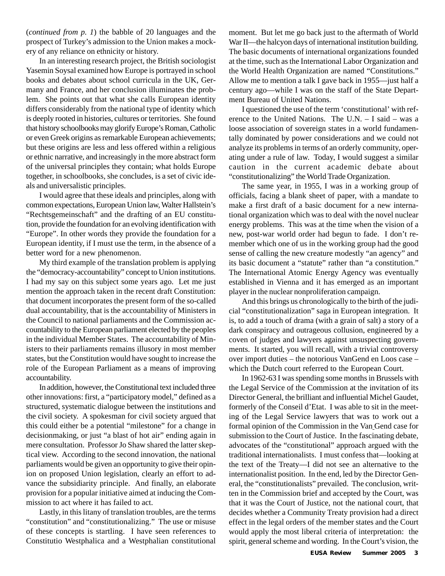(*continued from p. 1*) the babble of 20 languages and the prospect of Turkey's admission to the Union makes a mockery of any reliance on ethnicity or history.

In an interesting research project, the British sociologist Yasemin Soysal examined how Europe is portrayed in school books and debates about school curricula in the UK, Germany and France, and her conclusion illuminates the problem. She points out that what she calls European identity differs considerably from the national type of identity which is deeply rooted in histories, cultures or territories. She found that history schoolbooks may glorify Europe's Roman, Catholic or even Greek origins as remarkable European achievements; but these origins are less and less offered within a religious or ethnic narrative, and increasingly in the more abstract form of the universal principles they contain; what holds Europe together, in schoolbooks, she concludes, is a set of civic ideals and universalistic principles.

I would agree that these ideals and principles, along with common expectations, European Union law, Walter Hallstein's "Rechtsgemeinschaft" and the drafting of an EU constitution, provide the foundation for an evolving identification with "Europe". In other words they provide the foundation for a European identity, if I must use the term, in the absence of a better word for a new phenomenon.

My third example of the translation problem is applying the "democracy-accountability" concept to Union institutions. I had my say on this subject some years ago. Let me just mention the approach taken in the recent draft Constitution: that document incorporates the present form of the so-called dual accountability, that is the accountability of Ministers in the Council to national parliaments and the Commission accountability to the European parliament elected by the peoples in the individual Member States. The accountability of Ministers to their parliaments remains illusory in most member states, but the Constitution would have sought to increase the role of the European Parliament as a means of improving accountability.

In addition, however, the Constitutional text included three other innovations: first, a "participatory model," defined as a structured, systematic dialogue between the institutions and the civil society. A spokesman for civil society argued that this could either be a potential "milestone" for a change in decisionmaking, or just "a blast of hot air" ending again in mere consultation. Professor Jo Shaw shared the latter skeptical view. According to the second innovation, the national parliaments would be given an opportunity to give their opinion on proposed Union legislation, clearly an effort to advance the subsidiarity principle. And finally, an elaborate provision for a popular initiative aimed at inducing the Commission to act where it has failed to act.

Lastly, in this litany of translation troubles, are the terms "constitution" and "constitutionalizing." The use or misuse of these concepts is startling. I have seen references to Constitutio Westphalica and a Westphalian constitutional moment. But let me go back just to the aftermath of World War II—the halcyon days of international institution building. The basic documents of international organizations founded at the time, such as the International Labor Organization and the World Health Organization are named "Constitutions." Allow me to mention a talk I gave back in 1955—just half a century ago—while I was on the staff of the State Department Bureau of United Nations.

I questioned the use of the term 'constitutional' with reference to the United Nations. The U.N. – I said – was a loose association of sovereign states in a world fundamentally dominated by power considerations and we could not analyze its problems in terms of an orderly community, operating under a rule of law. Today, I would suggest a similar caution in the current academic debate about "constitutionalizing" the World Trade Organization.

The same year, in 1955, I was in a working group of officials, facing a blank sheet of paper, with a mandate to make a first draft of a basic document for a new international organization which was to deal with the novel nuclear energy problems. This was at the time when the vision of a new, post-war world order had begun to fade. I don't remember which one of us in the working group had the good sense of calling the new creature modestly "an agency" and its basic document a "statute" rather than "a constitution." The International Atomic Energy Agency was eventually established in Vienna and it has emerged as an important player in the nuclear nonproliferation campaign.

And this brings us chronologically to the birth of the judicial "constitutionalization" saga in European integration. It is, to add a touch of drama (with a grain of salt) a story of a dark conspiracy and outrageous collusion, engineered by a coven of judges and lawyers against unsuspecting governments. It started, you will recall, with a trivial controversy over import duties – the notorious VanGend en Loos case – which the Dutch court referred to the European Court.

In 1962-63 I was spending some months in Brussels with the Legal Service of the Commission at the invitation of its Director General, the brilliant and influential Michel Gaudet, formerly of the Conseil d'Etat. I was able to sit in the meeting of the Legal Service lawyers that was to work out a formal opinion of the Commission in the Van Gend case for submission to the Court of Justice. In the fascinating debate, advocates of the "constitutional" approach argued with the traditional internationalists. I must confess that—looking at the text of the Treaty—I did not see an alternative to the internationalist position. In the end, led by the Director General, the "constitutionalists" prevailed. The conclusion, written in the Commission brief and accepted by the Court, was that it was the Court of Justice, not the national court, that decides whether a Community Treaty provision had a direct effect in the legal orders of the member states and the Court would apply the most liberal criteria of interpretation: the spirit, general scheme and wording. In the Court's vision, the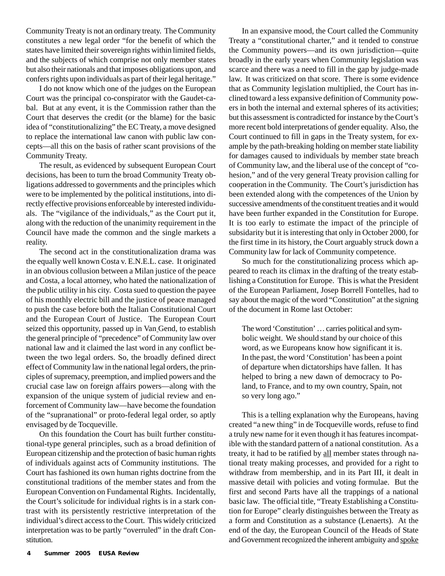Community Treaty is not an ordinary treaty. The Community constitutes a new legal order "for the benefit of which the states have limited their sovereign rights within limited fields, and the subjects of which comprise not only member states but also their nationals and that imposes obligations upon, and confers rights upon individuals as part of their legal heritage."

I do not know which one of the judges on the European Court was the principal co-conspirator with the Gaudet-cabal. But at any event, it is the Commission rather than the Court that deserves the credit (or the blame) for the basic idea of "constitutionalizing" the EC Treaty, a move designed to replace the international law canon with public law concepts—all this on the basis of rather scant provisions of the Community Treaty.

The result, as evidenced by subsequent European Court decisions, has been to turn the broad Community Treaty obligations addressed to governments and the principles which were to be implemented by the political institutions, into directly effective provisions enforceable by interested individuals. The "vigilance of the individuals," as the Court put it, along with the reduction of the unanimity requirement in the Council have made the common and the single markets a reality.

The second act in the constitutionalization drama was the equally well known Costa v. E.N.E.L. case. It originated in an obvious collusion between a Milan justice of the peace and Costa, a local attorney, who hated the nationalization of the public utility in his city. Costa sued to question the payee of his monthly electric bill and the justice of peace managed to push the case before both the Italian Constitutional Court and the European Court of Justice. The European Court seized this opportunity, passed up in Van Gend, to establish the general principle of "precedence" of Community law over national law and it claimed the last word in any conflict between the two legal orders. So, the broadly defined direct effect of Community law in the national legal orders, the principles of supremacy, preemption, and implied powers and the crucial case law on foreign affairs powers—along with the expansion of the unique system of judicial review and enforcement of Community law—have become the foundation of the "supranational" or proto-federal legal order, so aptly envisaged by de Tocqueville.

On this foundation the Court has built further constitutional-type general principles, such as a broad definition of European citizenship and the protection of basic human rights of individuals against acts of Community institutions. The Court has fashioned its own human rights doctrine from the constitutional traditions of the member states and from the European Convention on Fundamental Rights. Incidentally, the Court's solicitude for individual rights is in a stark contrast with its persistently restrictive interpretation of the individual's direct access to the Court. This widely criticized interpretation was to be partly "overruled" in the draft Constitution.

In an expansive mood, the Court called the Community Treaty a "constitutional charter," and it tended to construe the Community powers—and its own jurisdiction—quite broadly in the early years when Community legislation was scarce and there was a need to fill in the gap by judge-made law. It was criticized on that score. There is some evidence that as Community legislation multiplied, the Court has inclined toward a less expansive definition of Community powers in both the internal and external spheres of its activities; but this assessment is contradicted for instance by the Court's more recent bold interpretations of gender equality. Also, the Court continued to fill in gaps in the Treaty system, for example by the path-breaking holding on member state liability for damages caused to individuals by member state breach of Community law, and the liberal use of the concept of "cohesion," and of the very general Treaty provision calling for cooperation in the Community. The Court's jurisdiction has been extended along with the competences of the Union by successive amendments of the constituent treaties and it would have been further expanded in the Constitution for Europe. It is too early to estimate the impact of the principle of subsidarity but it is interesting that only in October 2000, for the first time in its history, the Court arguably struck down a Community law for lack of Community competence.

So much for the constitutionalizing process which appeared to reach its climax in the drafting of the treaty establishing a Constitution for Europe. This is what the President of the European Parliament, Josep Borrell Fontelles, had to say about the magic of the word "Constitution" at the signing of the document in Rome last October:

The word 'Constitution' … carries political and symbolic weight. We should stand by our choice of this word, as we Europeans know how significant it is. In the past, the word 'Constitution' has been a point of departure when dictatorships have fallen. It has helped to bring a new dawn of democracy to Poland, to France, and to my own country, Spain, not so very long ago."

This is a telling explanation why the Europeans, having created "a new thing" in de Tocqueville words, refuse to find a truly new name for it even though it has features incompatible with the standard pattern of a national constitution. As a treaty, it had to be ratified by all member states through national treaty making processes, and provided for a right to withdraw from membership, and in its Part III, it dealt in massive detail with policies and voting formulae. But the first and second Parts have all the trappings of a national basic law. The official title, "Treaty Establishing a Constitution for Europe" clearly distinguishes between the Treaty as a form and Constitution as a substance (Lenaerts). At the end of the day, the European Council of the Heads of State and Government recognized the inherent ambiguity and spoke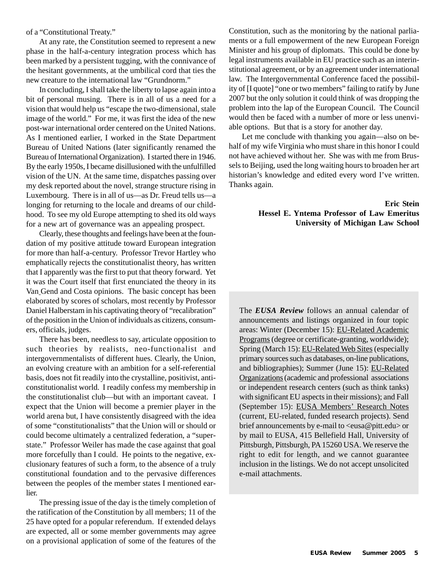of a "Constitutional Treaty."

At any rate, the Constitution seemed to represent a new phase in the half-a-century integration process which has been marked by a persistent tugging, with the connivance of the hesitant governments, at the umbilical cord that ties the new creature to the international law "Grundnorm."

In concluding, I shall take the liberty to lapse again into a bit of personal musing. There is in all of us a need for a vision that would help us "escape the two-dimensional, stale image of the world." For me, it was first the idea of the new post-war international order centered on the United Nations. As I mentioned earlier, I worked in the State Department Bureau of United Nations (later significantly renamed the Bureau of International Organization). I started there in 1946. By the early 1950s, I became disillusioned with the unfulfilled vision of the UN. At the same time, dispatches passing over my desk reported about the novel, strange structure rising in Luxembourg. There is in all of us—as Dr. Freud tells us—a longing for returning to the locale and dreams of our childhood. To see my old Europe attempting to shed its old ways for a new art of governance was an appealing prospect.

Clearly, these thoughts and feelings have been at the foundation of my positive attitude toward European integration for more than half-a-century. Professor Trevor Hartley who emphatically rejects the constitutionalist theory, has written that I apparently was the first to put that theory forward. Yet it was the Court itself that first enunciated the theory in its Van Gend and Costa opinions. The basic concept has been elaborated by scores of scholars, most recently by Professor Daniel Halberstam in his captivating theory of "recalibration" of the position in the Union of individuals as citizens, consumers, officials, judges.

There has been, needless to say, articulate opposition to such theories by realists, neo-functionalist and intergovernmentalists of different hues. Clearly, the Union, an evolving creature with an ambition for a self-referential basis, does not fit readily into the crystalline, positivist, anticonstitutionalist world. I readily confess my membership in the constitutionalist club—but with an important caveat. I expect that the Union will become a premier player in the world arena but, I have consistently disagreed with the idea of some "constitutionalists" that the Union will or should or could become ultimately a centralized federation, a "superstate." Professor Weiler has made the case against that goal more forcefully than I could. He points to the negative, exclusionary features of such a form, to the absence of a truly constitutional foundation and to the pervasive differences between the peoples of the member states I mentioned earlier.

The pressing issue of the day is the timely completion of the ratification of the Constitution by all members; 11 of the 25 have opted for a popular referendum. If extended delays are expected, all or some member governments may agree on a provisional application of some of the features of the

Constitution, such as the monitoring by the national parliaments or a full empowerment of the new European Foreign Minister and his group of diplomats. This could be done by legal instruments available in EU practice such as an interinstitutional agreement, or by an agreement under international law. The Intergovernmental Conference faced the possibility of [I quote] "one or two members" failing to ratify by June 2007 but the only solution it could think of was dropping the problem into the lap of the European Council. The Council would then be faced with a number of more or less unenviable options. But that is a story for another day.

Let me conclude with thanking you again—also on behalf of my wife Virginia who must share in this honor I could not have achieved without her. She was with me from Brussels to Beijing, used the long waiting hours to broaden her art historian's knowledge and edited every word I've written. Thanks again.

#### **Eric Stein Hessel E. Yntema Professor of Law Emeritus University of Michigan Law School**

The *EUSA Review* follows an annual calendar of announcements and listings organized in four topic areas: Winter (December 15): EU-Related Academic Programs (degree or certificate-granting, worldwide); Spring (March 15): EU-Related Web Sites (especially primary sources such as databases, on-line publications, and bibliographies); Summer (June 15): EU-Related Organizations (academic and professional associations or independent research centers (such as think tanks) with significant EU aspects in their missions); and Fall (September 15): EUSA Members' Research Notes (current, EU-related, funded research projects). Send brief announcements by e-mail to <eusa@pitt.edu> or by mail to EUSA, 415 Bellefield Hall, University of Pittsburgh, Pittsburgh, PA 15260 USA. We reserve the right to edit for length, and we cannot guarantee inclusion in the listings. We do not accept unsolicited e-mail attachments.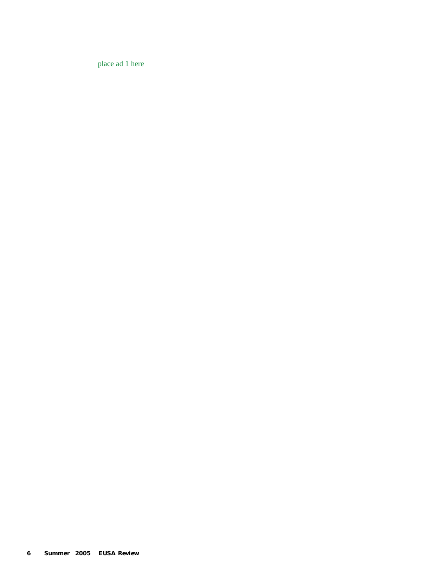place ad 1 here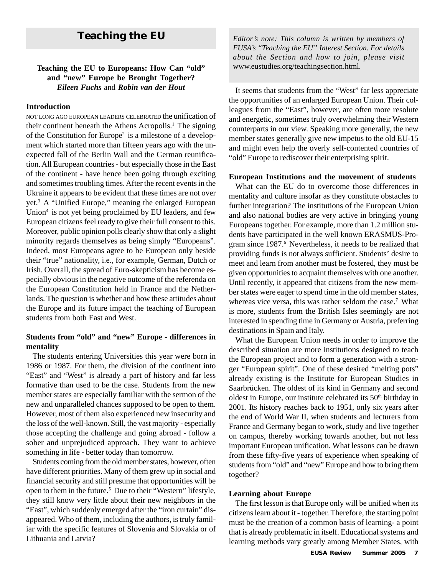#### **Teaching the EU to Europeans: How Can "old"** www.eustudies.org/teachingsection.html*.* **and "new" Europe be Brought Together?** *Eileen Fuchs* and *Robin van der Hout*

#### **Introduction**

NOT LONG AGO EUROPEAN LEADERS CELEBRATED the unification of their continent beneath the Athens Acropolis.<sup>1</sup> The signing of the Constitution for Europe<sup>2</sup> is a milestone of a development which started more than fifteen years ago with the unexpected fall of the Berlin Wall and the German reunification. All European countries - but especially those in the East of the continent - have hence been going through exciting and sometimes troubling times. After the recent events in the Ukraine it appears to be evident that these times are not over yet.3 A "Unified Europe," meaning the enlarged European Union<sup>4</sup> is not yet being proclaimed by EU leaders, and few European citizens feel ready to give their full consent to this. Moreover, public opinion polls clearly show that only a slight minority regards themselves as being simply "Europeans". Indeed, most Europeans agree to be European only beside their "true" nationality, i.e., for example, German, Dutch or Irish. Overall, the spread of Euro-skepticism has become especially obvious in the negative outcome of the referenda on the European Constitution held in France and the Netherlands. The question is whether and how these attitudes about the Europe and its future impact the teaching of European students from both East and West.

#### **Students from "old" and "new" Europe - differences in mentality**

The students entering Universities this year were born in 1986 or 1987. For them, the division of the continent into "East" and "West" is already a part of history and far less formative than used to be the case. Students from the new member states are especially familiar with the sermon of the new and unparalleled chances supposed to be open to them. However, most of them also experienced new insecurity and the loss of the well-known. Still, the vast majority - especially those accepting the challenge and going abroad - follow a sober and unprejudiced approach. They want to achieve something in life - better today than tomorrow.

Students coming from the old member states, however, often have different priorities. Many of them grew up in social and financial security and still presume that opportunities will be open to them in the future.5 Due to their "Western" lifestyle, they still know very little about their new neighbors in the "East", which suddenly emerged after the "iron curtain" disappeared. Who of them, including the authors, is truly familiar with the specific features of Slovenia and Slovakia or of Lithuania and Latvia?

**Teaching the EU** *Editor's note: This column is written by members of EUSA's "Teaching the EU" Interest Section. For details about the Section and how to join, please visit*

> It seems that students from the "West" far less appreciate the opportunities of an enlarged European Union. Their colleagues from the "East", however, are often more resolute and energetic, sometimes truly overwhelming their Western counterparts in our view. Speaking more generally, the new member states generally give new impetus to the old EU-15 and might even help the overly self-contented countries of "old" Europe to rediscover their enterprising spirit.

#### **European Institutions and the movement of students**

What can the EU do to overcome those differences in mentality and culture insofar as they constitute obstacles to further integration? The institutions of the European Union and also national bodies are very active in bringing young Europeans together. For example, more than 1.2 million students have participated in the well known ERASMUS-Program since 1987.<sup>6</sup> Nevertheless, it needs to be realized that providing funds is not always sufficient. Students' desire to meet and learn from another must be fostered, they must be given opportunities to acquaint themselves with one another. Until recently, it appeared that citizens from the new member states were eager to spend time in the old member states, whereas vice versa, this was rather seldom the case.<sup>7</sup> What is more, students from the British Isles seemingly are not interested in spending time in Germany or Austria, preferring destinations in Spain and Italy.

What the European Union needs in order to improve the described situation are more institutions designed to teach the European project and to form a generation with a stronger "European spirit". One of these desired "melting pots" already existing is the Institute for European Studies in Saarbrücken. The oldest of its kind in Germany and second oldest in Europe, our institute celebrated its 50<sup>th</sup> birthday in 2001. Its history reaches back to 1951, only six years after the end of World War II, when students and lecturers from France and Germany began to work, study and live together on campus, thereby working towards another, but not less important European unification. What lessons can be drawn from these fifty-five years of experience when speaking of students from "old" and "new" Europe and how to bring them together?

#### **Learning about Europe**

The first lesson is that Europe only will be unified when its citizens learn about it - together. Therefore, the starting point must be the creation of a common basis of learning- a point that is already problematic in itself. Educational systems and learning methods vary greatly among Member States, with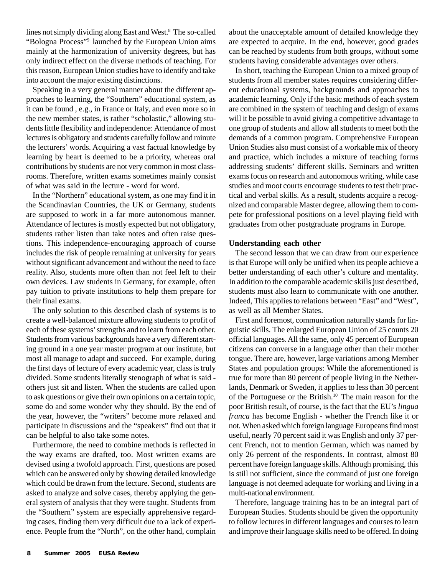lines not simply dividing along East and West.<sup>8</sup> The so-called "Bologna Process"9 launched by the European Union aims mainly at the harmonization of university degrees, but has only indirect effect on the diverse methods of teaching. For this reason, European Union studies have to identify and take into account the major existing distinctions.

Speaking in a very general manner about the different approaches to learning, the "Southern" educational system, as it can be found , e.g., in France or Italy, and even more so in the new member states, is rather "scholastic," allowing students little flexibility and independence: Attendance of most lectures is obligatory and students carefully follow and minute the lecturers' words. Acquiring a vast factual knowledge by learning by heart is deemed to be a priority, whereas oral contributions by students are not very common in most classrooms. Therefore, written exams sometimes mainly consist of what was said in the lecture - word for word.

In the "Northern" educational system, as one may find it in the Scandinavian Countries, the UK or Germany, students are supposed to work in a far more autonomous manner. Attendance of lectures is mostly expected but not obligatory, students rather listen than take notes and often raise questions. This independence-encouraging approach of course includes the risk of people remaining at university for years without significant advancement and without the need to face reality. Also, students more often than not feel left to their own devices. Law students in Germany, for example, often pay tuition to private institutions to help them prepare for their final exams.

The only solution to this described clash of systems is to create a well-balanced mixture allowing students to profit of each of these systems' strengths and to learn from each other. Students from various backgrounds have a very different starting ground in a one year master program at our institute, but most all manage to adapt and succeed. For example, during the first days of lecture of every academic year, class is truly divided. Some students literally stenograph of what is said others just sit and listen. When the students are called upon to ask questions or give their own opinions on a certain topic, some do and some wonder why they should. By the end of the year, however, the "writers" become more relaxed and participate in discussions and the "speakers" find out that it can be helpful to also take some notes.

Furthermore, the need to combine methods is reflected in the way exams are drafted, too. Most written exams are devised using a twofold approach. First, questions are posed which can be answered only by showing detailed knowledge which could be drawn from the lecture. Second, students are asked to analyze and solve cases, thereby applying the general system of analysis that they were taught. Students from the "Southern" system are especially apprehensive regarding cases, finding them very difficult due to a lack of experience. People from the "North", on the other hand, complain about the unacceptable amount of detailed knowledge they are expected to acquire. In the end, however, good grades can be reached by students from both groups, without some students having considerable advantages over others.

In short, teaching the European Union to a mixed group of students from all member states requires considering different educational systems, backgrounds and approaches to academic learning. Only if the basic methods of each system are combined in the system of teaching and design of exams will it be possible to avoid giving a competitive advantage to one group of students and allow all students to meet both the demands of a common program. Comprehensive European Union Studies also must consist of a workable mix of theory and practice, which includes a mixture of teaching forms addressing students' different skills. Seminars and written exams focus on research and autonomous writing, while case studies and moot courts encourage students to test their practical and verbal skills. As a result, students acquire a recognized and comparable Master degree, allowing them to compete for professional positions on a level playing field with graduates from other postgraduate programs in Europe.

#### **Understanding each other**

The second lesson that we can draw from our experience is that Europe will only be unified when its people achieve a better understanding of each other's culture and mentality. In addition to the comparable academic skills just described, students must also learn to communicate with one another. Indeed, This applies to relations between "East" and "West", as well as all Member States.

First and foremost, communication naturally stands for linguistic skills. The enlarged European Union of 25 counts 20 official languages. All the same, only 45 percent of European citizens can converse in a language other than their mother tongue. There are, however, large variations among Member States and population groups: While the aforementioned is true for more than 80 percent of people living in the Netherlands, Denmark or Sweden, it applies to less than 30 percent of the Portuguese or the British.10 The main reason for the poor British result, of course, is the fact that the EU's *lingua franca* has become English - whether the French like it or not. When asked which foreign language Europeans find most useful, nearly 70 percent said it was English and only 37 percent French, not to mention German, which was named by only 26 percent of the respondents. In contrast, almost 80 percent have foreign language skills. Although promising, this is still not sufficient, since the command of just one foreign language is not deemed adequate for working and living in a multi-national environment.

Therefore, language training has to be an integral part of European Studies. Students should be given the opportunity to follow lectures in different languages and courses to learn and improve their language skills need to be offered. In doing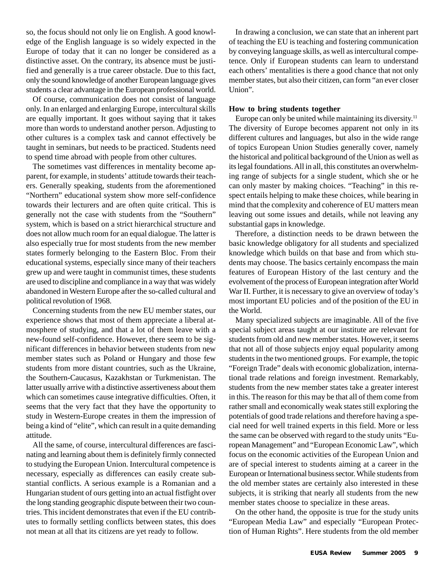so, the focus should not only lie on English. A good knowledge of the English language is so widely expected in the Europe of today that it can no longer be considered as a distinctive asset. On the contrary, its absence must be justified and generally is a true career obstacle. Due to this fact, only the sound knowledge of another European language gives students a clear advantage in the European professional world.

Of course, communication does not consist of language only. In an enlarged and enlarging Europe, intercultural skills are equally important. It goes without saying that it takes more than words to understand another person. Adjusting to other cultures is a complex task and cannot effectively be taught in seminars, but needs to be practiced. Students need to spend time abroad with people from other cultures.

The sometimes vast differences in mentality become apparent, for example, in students' attitude towards their teachers. Generally speaking, students from the aforementioned "Northern" educational system show more self-confidence towards their lecturers and are often quite critical. This is generally not the case with students from the "Southern" system, which is based on a strict hierarchical structure and does not allow much room for an equal dialogue. The latter is also especially true for most students from the new member states formerly belonging to the Eastern Bloc. From their educational systems, especially since many of their teachers grew up and were taught in communist times, these students are used to discipline and compliance in a way that was widely abandoned in Western Europe after the so-called cultural and political revolution of 1968.

Concerning students from the new EU member states, our experience shows that most of them appreciate a liberal atmosphere of studying, and that a lot of them leave with a new-found self-confidence. However, there seem to be significant differences in behavior between students from new member states such as Poland or Hungary and those few students from more distant countries, such as the Ukraine, the Southern-Caucasus, Kazakhstan or Turkmenistan. The latter usually arrive with a distinctive assertiveness about them which can sometimes cause integrative difficulties. Often, it seems that the very fact that they have the opportunity to study in Western-Europe creates in them the impression of being a kind of "elite", which can result in a quite demanding attitude.

All the same, of course, intercultural differences are fascinating and learning about them is definitely firmly connected to studying the European Union. Intercultural competence is necessary, especially as differences can easily create substantial conflicts. A serious example is a Romanian and a Hungarian student of ours getting into an actual fistfight over the long standing geographic dispute between their two countries. This incident demonstrates that even if the EU contributes to formally settling conflicts between states, this does not mean at all that its citizens are yet ready to follow.

In drawing a conclusion, we can state that an inherent part of teaching the EU is teaching and fostering communication by conveying language skills, as well as intercultural competence. Only if European students can learn to understand each others' mentalities is there a good chance that not only member states, but also their citizen, can form "an ever closer Union".

#### **How to bring students together**

Europe can only be united while maintaining its diversity.<sup>11</sup> The diversity of Europe becomes apparent not only in its different cultures and languages, but also in the wide range of topics European Union Studies generally cover, namely the historical and political background of the Union as well as its legal foundations. All in all, this constitutes an overwhelming range of subjects for a single student, which she or he can only master by making choices. "Teaching" in this respect entails helping to make these choices, while bearing in mind that the complexity and coherence of EU matters mean leaving out some issues and details, while not leaving any substantial gaps in knowledge.

Therefore, a distinction needs to be drawn between the basic knowledge obligatory for all students and specialized knowledge which builds on that base and from which students may choose. The basics certainly encompass the main features of European History of the last century and the evolvement of the process of European integration after World War II. Further, it is necessary to give an overview of today's most important EU policies and of the position of the EU in the World.

Many specialized subjects are imaginable. All of the five special subject areas taught at our institute are relevant for students from old and new member states. However, it seems that not all of those subjects enjoy equal popularity among students in the two mentioned groups. For example, the topic "Foreign Trade" deals with economic globalization, international trade relations and foreign investment. Remarkably, students from the new member states take a greater interest in this. The reason for this may be that all of them come from rather small and economically weak states still exploring the potentials of good trade relations and therefore having a special need for well trained experts in this field. More or less the same can be observed with regard to the study units "European Management" and "European Economic Law", which focus on the economic activities of the European Union and are of special interest to students aiming at a career in the European or International business sector. While students from the old member states are certainly also interested in these subjects, it is striking that nearly all students from the new member states choose to specialize in these areas.

On the other hand, the opposite is true for the study units "European Media Law" and especially "European Protection of Human Rights". Here students from the old member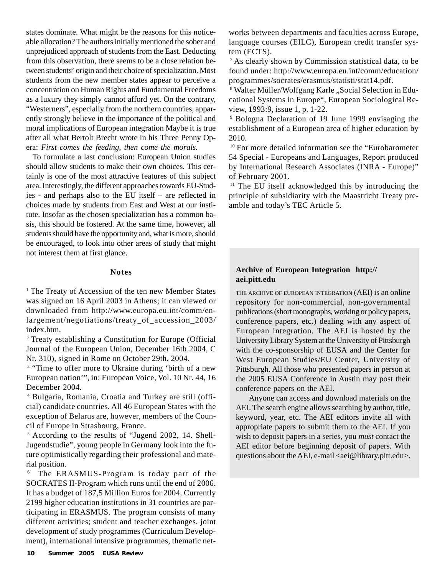states dominate. What might be the reasons for this noticeable allocation? The authors initially mentioned the sober and unprejudiced approach of students from the East. Deducting from this observation, there seems to be a close relation between students' origin and their choice of specialization. Most students from the new member states appear to perceive a concentration on Human Rights and Fundamental Freedoms as a luxury they simply cannot afford yet. On the contrary, "Westerners", especially from the northern countries, apparently strongly believe in the importance of the political and moral implications of European integration Maybe it is true after all what Bertolt Brecht wrote in his Three Penny Opera: *First comes the feeding, then come the morals.*

To formulate a last conclusion: European Union studies should allow students to make their own choices. This certainly is one of the most attractive features of this subject area. Interestingly, the different approaches towards EU-Studies - and perhaps also to the EU itself – are reflected in choices made by students from East and West at our institute. Insofar as the chosen specialization has a common basis, this should be fostered. At the same time, however, all students should have the opportunity and, what is more, should be encouraged, to look into other areas of study that might not interest them at first glance.

#### **Notes**

<sup>1</sup> The Treaty of Accession of the ten new Member States was signed on 16 April 2003 in Athens; it can viewed or downloaded from http://www.europa.eu.int/comm/enlargement/negotiations/treaty\_of\_accession\_2003/ index.htm.

2 Treaty establishing a Constitution for Europe (Official Journal of the European Union, December 16th 2004, C Nr. 310), signed in Rome on October 29th, 2004.

<sup>3</sup> "Time to offer more to Ukraine during 'birth of a new European nation'", in: European Voice, Vol. 10 Nr. 44, 16 December 2004.

4 Bulgaria, Romania, Croatia and Turkey are still (official) candidate countries. All 46 European States with the exception of Belarus are, however, members of the Council of Europe in Strasbourg, France.

5 According to the results of "Jugend 2002, 14. Shell-Jugendstudie", young people in Germany look into the future optimistically regarding their professional and material position.

6 The ERASMUS-Program is today part of the SOCRATES II-Program which runs until the end of 2006. It has a budget of 187,5 Million Euros for 2004. Currently 2199 higher education institutions in 31 countries are participating in ERASMUS. The program consists of many different activities; student and teacher exchanges, joint development of study programmes (Curriculum Development), international intensive programmes, thematic networks between departments and faculties across Europe, language courses (EILC), European credit transfer system (ECTS).

<sup>7</sup> As clearly shown by Commission statistical data, to be found under: http://www.europa.eu.int/comm/education/ programmes/socrates/erasmus/statisti/stat14.pdf.

<sup>8</sup> Walter Müller/Wolfgang Karle "Social Selection in Educational Systems in Europe", European Sociological Review, 1993:9, issue 1, p. 1-22.

9 Bologna Declaration of 19 June 1999 envisaging the establishment of a European area of higher education by 2010.

<sup>10</sup> For more detailed information see the "Eurobarometer 54 Special - Europeans and Languages, Report produced by International Research Associates (INRA - Europe)" of February 2001.

<sup>11</sup> The EU itself acknowledged this by introducing the principle of subsidiarity with the Maastricht Treaty preamble and today's TEC Article 5.

#### **Archive of European Integration http:// aei.pitt.edu**

THE ARCHIVE OF EUROPEAN INTEGRATION (AEI) is an online repository for non-commercial, non-governmental publications (short monographs, working or policy papers, conference papers, etc.) dealing with any aspect of European integration. The AEI is hosted by the University Library System at the University of Pittsburgh with the co-sponsorship of EUSA and the Center for West European Studies/EU Center, University of Pittsburgh. All those who presented papers in person at the 2005 EUSA Conference in Austin may post their conference papers on the AEI.

Anyone can access and download materials on the AEI. The search engine allows searching by author, title, keyword, year, etc. The AEI editors invite all with appropriate papers to submit them to the AEI. If you wish to deposit papers in a series, you *must* contact the AEI editor before beginning deposit of papers. With questions about the AEI, e-mail <aei@library.pitt.edu>.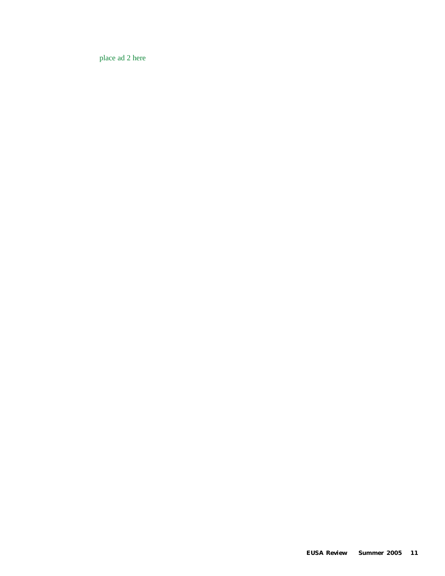place ad 2 here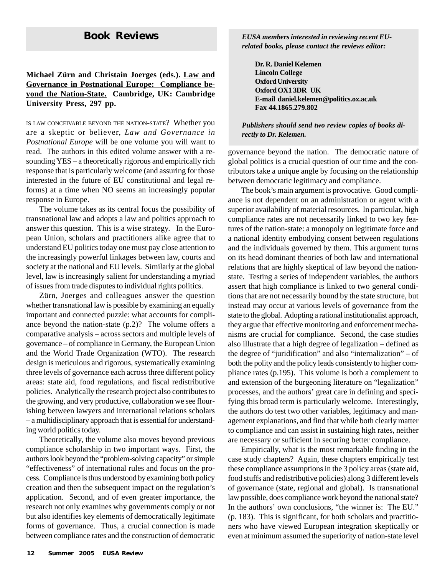#### **Michael Zürn and Christain Joerges (eds.). Law and Governance in Postnational Europe: Compliance beyond the Nation-State. Cambridge, UK: Cambridge University Press, 297 pp.**

IS LAW CONCEIVABLE BEYOND THE NATION-STATE? Whether you are a skeptic or believer, *Law and Governance in Postnational Europe* will be one volume you will want to read. The authors in this edited volume answer with a resounding YES – a theoretically rigorous and empirically rich response that is particularly welcome (and assuring for those interested in the future of EU constitutional and legal reforms) at a time when NO seems an increasingly popular response in Europe.

The volume takes as its central focus the possibility of transnational law and adopts a law and politics approach to answer this question. This is a wise strategy. In the European Union, scholars and practitioners alike agree that to understand EU politics today one must pay close attention to the increasingly powerful linkages between law, courts and society at the national and EU levels. Similarly at the global level, law is increasingly salient for understanding a myriad of issues from trade disputes to individual rights politics.

Zürn, Joerges and colleagues answer the question whether transnational law is possible by examining an equally important and connected puzzle: what accounts for compliance beyond the nation-state (p.2)? The volume offers a comparative analysis – across sectors and multiple levels of governance – of compliance in Germany, the European Union and the World Trade Organization (WTO). The research design is meticulous and rigorous, systematically examining three levels of governance each across three different policy areas: state aid, food regulations, and fiscal redistributive policies. Analytically the research project also contributes to the growing, and very productive, collaboration we see flourishing between lawyers and international relations scholars – a multidisciplinary approach that is essential for understanding world politics today.

Theoretically, the volume also moves beyond previous compliance scholarship in two important ways. First, the authors look beyond the "problem-solving capacity" or simple "effectiveness" of international rules and focus on the process. Compliance is thus understood by examining both policy creation and then the subsequent impact on the regulation's application. Second, and of even greater importance, the research not only examines why governments comply or not but also identifies key elements of democratically legitimate forms of governance. Thus, a crucial connection is made between compliance rates and the construction of democratic

**Book Reviews** *EUSA members interested in reviewing recent EUrelated books, please contact the reviews editor:*

> **Dr. R. Daniel Kelemen Lincoln College Oxford University Oxford OX1 3DR UK E-mail daniel.kelemen@politics.ox.ac.uk Fax 44.1865.279.802**

*Publishers should send two review copies of books directly to Dr. Kelemen.*

governance beyond the nation. The democratic nature of global politics is a crucial question of our time and the contributors take a unique angle by focusing on the relationship between democratic legitimacy and compliance.

The book's main argument is provocative. Good compliance is not dependent on an administration or agent with a superior availability of material resources. In particular, high compliance rates are not necessarily linked to two key features of the nation-state: a monopoly on legitimate force and a national identity embodying consent between regulations and the individuals governed by them. This argument turns on its head dominant theories of both law and international relations that are highly skeptical of law beyond the nationstate. Testing a series of independent variables, the authors assert that high compliance is linked to two general conditions that are not necessarily bound by the state structure, but instead may occur at various levels of governance from the state to the global. Adopting a rational institutionalist approach, they argue that effective monitoring and enforcement mechanisms are crucial for compliance. Second, the case studies also illustrate that a high degree of legalization – defined as the degree of "juridification" and also "internalization" – of both the polity and the policy leads consistently to higher compliance rates (p.195). This volume is both a complement to and extension of the burgeoning literature on "legalization" processes, and the authors' great care in defining and specifying this broad term is particularly welcome. Interestingly, the authors do test two other variables, legitimacy and management explanations, and find that while both clearly matter to compliance and can assist in sustaining high rates, neither are necessary or sufficient in securing better compliance.

Empirically, what is the most remarkable finding in the case study chapters? Again, these chapters empirically test these compliance assumptions in the 3 policy areas (state aid, food stuffs and redistributive policies) along 3 different levels of governance (state, regional and global). Is transnational law possible, does compliance work beyond the national state? In the authors' own conclusions, "the winner is: The EU." (p. 183). This is significant, for both scholars and practitioners who have viewed European integration skeptically or even at minimum assumed the superiority of nation-state level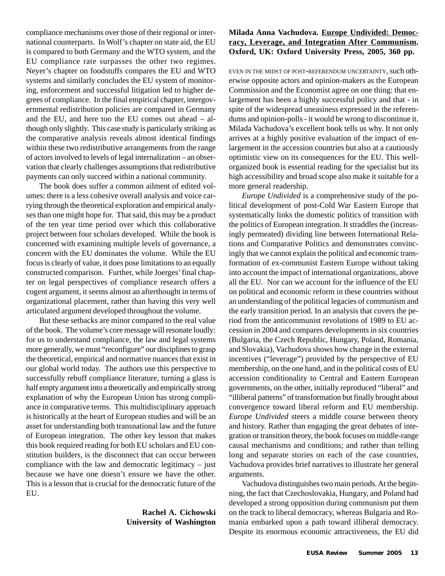compliance mechanisms over those of their regional or international counterparts. In Wolf's chapter on state aid, the EU is compared to both Germany and the WTO system, and the EU compliance rate surpasses the other two regimes. Neyer's chapter on foodstuffs compares the EU and WTO systems and similarly concludes the EU system of monitoring, enforcement and successful litigation led to higher degrees of compliance. In the final empirical chapter, intergovernmental redistribution policies are compared in Germany and the EU, and here too the EU comes out ahead – although only slightly. This case study is particularly striking as the comparative analysis reveals almost identical findings within these two redistributive arrangements from the range of actors involved to levels of legal internalization – an observation that clearly challenges assumptions that redistributive payments can only succeed within a national community.

The book does suffer a common ailment of edited volumes: there is a less cohesive overall analysis and voice carrying through the theoretical exploration and empirical analyses than one might hope for. That said, this may be a product of the ten year time period over which this collaborative project between four scholars developed. While the book is concerned with examining multiple levels of governance, a concern with the EU dominates the volume. While the EU focus is clearly of value, it does pose limitations to an equally constructed comparison. Further, while Joerges' final chapter on legal perspectives of compliance research offers a cogent argument, it seems almost an afterthought in terms of organizational placement, rather than having this very well articulated argument developed throughout the volume.

But these setbacks are minor compared to the real value of the book. The volume's core message will resonate loudly: for us to understand compliance, the law and legal systems more generally, we must "reconfigure" our disciplines to grasp the theoretical, empirical and normative nuances that exist in our global world today. The authors use this perspective to successfully rebuff compliance literature, turning a glass is half empty argument into a theoretically and empirically strong explanation of why the European Union has strong compliance in comparative terms. This multidisciplinary approach is historically at the heart of European studies and will be an asset for understanding both transnational law and the future of European integration. The other key lesson that makes this book required reading for both EU scholars and EU constitution builders, is the disconnect that can occur between compliance with the law and democratic legitimacy – just because we have one doesn't ensure we have the other. This is a lesson that is crucial for the democratic future of the EU.

#### **Rachel A. Cichowski University of Washington**

### **Milada Anna Vachudova. Europe Undivided: Democracy, Leverage, and Integration After Communism. Oxford, UK: Oxford University Press, 2005, 360 pp.**

EVEN IN THE MIDST OF POST-REFERENDUM UNCERTAINTY, such otherwise opposite actors and opinion-makers as the European Commission and the Economist agree on one thing: that enlargement has been a highly successful policy and that - in spite of the widespread uneasiness expressed in the referendums and opinion-polls - it would be wrong to discontinue it. Milada Vachudova's excellent book tells us why. It not only arrives at a highly positive evaluation of the impact of enlargement in the accession countries but also at a cautiously optimistic view on its consequences for the EU. This wellorganized book is essential reading for the specialist but its high accessibility and broad scope also make it suitable for a more general readership.

*Europe Undivided* is a comprehensive study of the political development of post-Cold War Eastern Europe that systematically links the domestic politics of transition with the politics of European integration. It straddles the (increasingly permeated) dividing line between International Relations and Comparative Politics and demonstrates convincingly that we cannot explain the political and economic transformation of ex-communist Eastern Europe without taking into account the impact of international organizations, above all the EU. Nor can we account for the influence of the EU on political and economic reform in these countries without an understanding of the political legacies of communism and the early transition period. In an analysis that covers the period from the anticommunist revolutions of 1989 to EU accession in 2004 and compares developments in six countries (Bulgaria, the Czech Republic, Hungary, Poland, Romania, and Slovakia), Vachudova shows how change in the external incentives ("leverage") provided by the perspective of EU membership, on the one hand, and in the political costs of EU accession conditionality to Central and Eastern European governments, on the other, initially reproduced "liberal" and "illiberal patterns" of transformation but finally brought about convergence toward liberal reform and EU membership. *Europe Undivided* steers a middle course between theory and history. Rather than engaging the great debates of integration or transition theory, the book focuses on middle-range causal mechanisms and conditions; and rather than telling long and separate stories on each of the case countries, Vachudova provides brief narratives to illustrate her general arguments.

Vachudova distinguishes two main periods. At the beginning, the fact that Czechoslovakia, Hungary, and Poland had developed a strong opposition during communism put them on the track to liberal democracy, whereas Bulgaria and Romania embarked upon a path toward illiberal democracy. Despite its enormous economic attractiveness, the EU did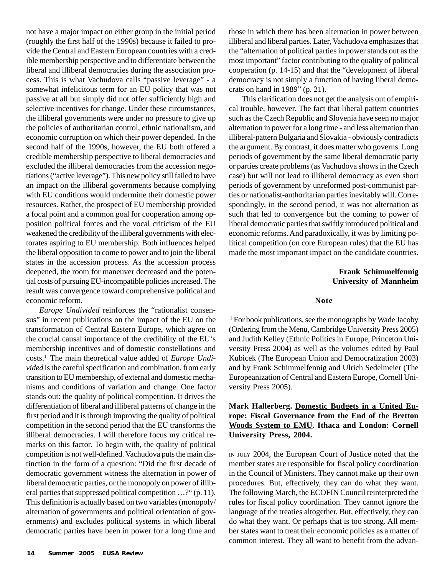not have a major impact on either group in the initial period (roughly the first half of the 1990s) because it failed to provide the Central and Eastern European countries with a credible membership perspective and to differentiate between the liberal and illiberal democracies during the association process. This is what Vachudova calls "passive leverage" - a somewhat infelicitous term for an EU policy that was not passive at all but simply did not offer sufficiently high and selective incentives for change. Under these circumstances, the illiberal governments were under no pressure to give up the policies of authoritarian control, ethnic nationalism, and economic corruption on which their power depended. In the second half of the 1990s, however, the EU both offered a credible membership perspective to liberal democracies and excluded the illiberal democracies from the accession negotiations ("active leverage"). This new policy still failed to have an impact on the illiberal governments because complying with EU conditions would undermine their domestic power resources. Rather, the prospect of EU membership provided a focal point and a common goal for cooperation among opposition political forces and the vocal criticism of the EU weakened the credibility of the illiberal governments with electorates aspiring to EU membership. Both influences helped the liberal opposition to come to power and to join the liberal states in the accession process. As the accession process deepened, the room for maneuver decreased and the potential costs of pursuing EU-incompatible policies increased. The result was convergence toward comprehensive political and economic reform.

*Europe Undivided* reinforces the "rationalist consensus" in recent publications on the impact of the EU on the transformation of Central Eastern Europe, which agree on the crucial causal importance of the credibility of the EU's membership incentives and of domestic constellations and costs.1 The main theoretical value added of *Europe Undivided* is the careful specification and combination, from early transition to EU membership, of external and domestic mechanisms and conditions of variation and change. One factor stands out: the quality of political competition. It drives the differentiation of liberal and illiberal patterns of change in the first period and it is through improving the quality of political competition in the second period that the EU transforms the illiberal democracies. I will therefore focus my critical remarks on this factor. To begin with, the quality of political competition is not well-defined. Vachudova puts the main distinction in the form of a question: "Did the first decade of democratic government witness the alternation in power of liberal democratic parties, or the monopoly on power of illiberal parties that suppressed political competition …?" (p. 11). This definition is actually based on two variables (monopoly/ alternation of governments and political orientation of governments) and excludes political systems in which liberal democratic parties have been in power for a long time and

those in which there has been alternation in power between illiberal and liberal parties. Later, Vachudova emphasizes that the "alternation of political parties in power stands out as the most important" factor contributing to the quality of political cooperation (p. 14-15) and that the "development of liberal democracy is not simply a function of having liberal democrats on hand in 1989" (p. 21).

This clarification does not get the analysis out of empirical trouble, however. The fact that liberal pattern countries such as the Czech Republic and Slovenia have seen no major alternation in power for a long time - and less alternation than illiberal-pattern Bulgaria and Slovakia - obviously contradicts the argument. By contrast, it does matter who governs. Long periods of government by the same liberal democratic party or parties create problems (as Vachudova shows in the Czech case) but will not lead to illiberal democracy as even short periods of government by unreformed post-communist parties or nationalist-authoritarian parties inevitably will. Correspondingly, in the second period, it was not alternation as such that led to convergence but the coming to power of liberal democratic parties that swiftly introduced political and economic reforms. And paradoxically, it was by limiting political competition (on core European rules) that the EU has made the most important impact on the candidate countries.

#### **Frank Schimmelfennig University of Mannheim**

#### **Note**

1 For book publications, see the monographs by Wade Jacoby (Ordering from the Menu, Cambridge University Press 2005) and Judith Kelley (Ethnic Politics in Europe, Princeton University Press 2004) as well as the volumes edited by Paul Kubicek (The European Union and Democratization 2003) and by Frank Schimmelfennig and Ulrich Sedelmeier (The Europeanization of Central and Eastern Europe, Cornell University Press 2005).

#### **Mark Hallerberg. Domestic Budgets in a United Europe: Fiscal Governance from the End of the Bretton Woods System to EMU. Ithaca and London: Cornell University Press, 2004.**

IN JULY 2004, the European Court of Justice noted that the member states are responsible for fiscal policy coordination in the Council of Ministers. They cannot make up their own procedures. But, effectively, they can do what they want. The following March, the ECOFIN Council reinterpreted the rules for fiscal policy coordination. They cannot ignore the language of the treaties altogether. But, effectively, they can do what they want. Or perhaps that is too strong. All member states want to treat their economic policies as a matter of common interest. They all want to benefit from the advan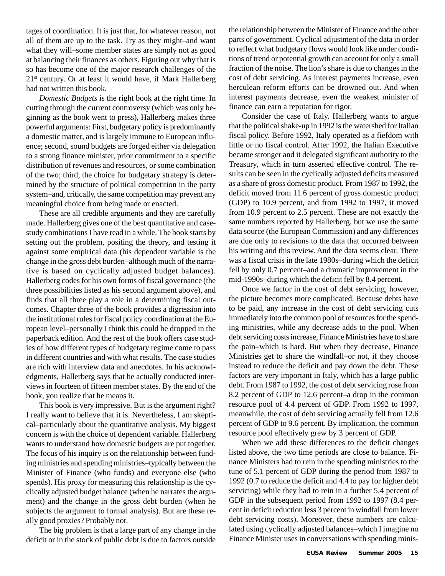tages of coordination. It is just that, for whatever reason, not all of them are up to the task. Try as they might–and want what they will–some member states are simply not as good at balancing their finances as others. Figuring out why that is so has become one of the major research challenges of the 21<sup>st</sup> century. Or at least it would have, if Mark Hallerberg had not written this book.

*Domestic Budgets* is the right book at the right time. In cutting through the current controversy (which was only beginning as the book went to press), Hallerberg makes three powerful arguments: First, budgetary policy is predominantly a domestic matter, and is largely immune to European influence; second, sound budgets are forged either via delegation to a strong finance minister, prior commitment to a specific distribution of revenues and resources, or some combination of the two; third, the choice for budgetary strategy is determined by the structure of political competition in the party system–and, critically, the same competition may prevent any meaningful choice from being made or enacted.

These are all credible arguments and they are carefully made. Hallerberg gives one of the best quantitative and casestudy combinations I have read in a while. The book starts by setting out the problem, positing the theory, and testing it against some empirical data (his dependent variable is the change in the gross debt burden–although much of the narrative is based on cyclically adjusted budget balances). Hallerberg codes for his own forms of fiscal governance (the three possibilities listed as his second argument above), and finds that all three play a role in a determining fiscal outcomes. Chapter three of the book provides a digression into the institutional rules for fiscal policy coordination at the European level–personally I think this could be dropped in the paperback edition. And the rest of the book offers case studies of how different types of budgetary regime come to pass in different countries and with what results. The case studies are rich with interview data and anecdotes. In his acknowledgments, Hallerberg says that he actually conducted interviews in fourteen of fifteen member states. By the end of the book, you realize that he means it.

This book is very impressive. But is the argument right? I really want to believe that it is. Nevertheless, I am skeptical–particularly about the quantitative analysis. My biggest concern is with the choice of dependent variable. Hallerberg wants to understand how domestic budgets are put together. The focus of his inquiry is on the relationship between funding ministries and spending ministries–typically between the Minister of Finance (who funds) and everyone else (who spends). His proxy for measuring this relationship is the cyclically adjusted budget balance (when he narrates the argument) and the change in the gross debt burden (when he subjects the argument to formal analysis). But are these really good proxies? Probably not.

The big problem is that a large part of any change in the deficit or in the stock of public debt is due to factors outside the relationship between the Minister of Finance and the other parts of government. Cyclical adjustment of the data in order to reflect what budgetary flows would look like under conditions of trend or potential growth can account for only a small fraction of the noise. The lion's share is due to changes in the cost of debt servicing. As interest payments increase, even herculean reform efforts can be drowned out. And when interest payments decrease, even the weakest minister of finance can earn a reputation for rigor.

Consider the case of Italy. Hallerberg wants to argue that the political shake-up in 1992 is the watershed for Italian fiscal policy. Before 1992, Italy operated as a fiefdom with little or no fiscal control. After 1992, the Italian Executive became stronger and it delegated significant authority to the Treasury, which in turn asserted effective control. The results can be seen in the cyclically adjusted deficits measured as a share of gross domestic product. From 1987 to 1992, the deficit moved from 11.6 percent of gross domestic product (GDP) to 10.9 percent, and from 1992 to 1997, it moved from 10.9 percent to 2.5 percent. These are not exactly the same numbers reported by Hallerberg, but we use the same data source (the European Commission) and any differences are due only to revisions to the data that occurred between his writing and this review. And the data seems clear. There was a fiscal crisis in the late 1980s–during which the deficit fell by only 0.7 percent–and a dramatic improvement in the mid-1990s–during which the deficit fell by 8.4 percent.

Once we factor in the cost of debt servicing, however, the picture becomes more complicated. Because debts have to be paid, any increase in the cost of debt servicing cuts immediately into the common pool of resources for the spending ministries, while any decrease adds to the pool. When debt servicing costs increase, Finance Ministries have to share the pain–which is hard. But when they decrease, Finance Ministries get to share the windfall–or not, if they choose instead to reduce the deficit and pay down the debt. These factors are very important in Italy, which has a large public debt. From 1987 to 1992, the cost of debt servicing rose from 8.2 percent of GDP to 12.6 percent–a drop in the common resource pool of 4.4 percent of GDP. From 1992 to 1997, meanwhile, the cost of debt servicing actually fell from 12.6 percent of GDP to 9.6 percent. By implication, the common resource pool effectively grew by 3 percent of GDP.

When we add these differences to the deficit changes listed above, the two time periods are close to balance. Finance Ministers had to rein in the spending ministries to the tune of 5.1 percent of GDP during the period from 1987 to 1992 (0.7 to reduce the deficit and 4.4 to pay for higher debt servicing) while they had to rein in a further 5.4 percent of GDP in the subsequent period from 1992 to 1997 (8.4 percent in deficit reduction less 3 percent in windfall from lower debt servicing costs). Moreover, these numbers are calculated using cyclically adjusted balances–which I imagine no Finance Minister uses in conversations with spending minis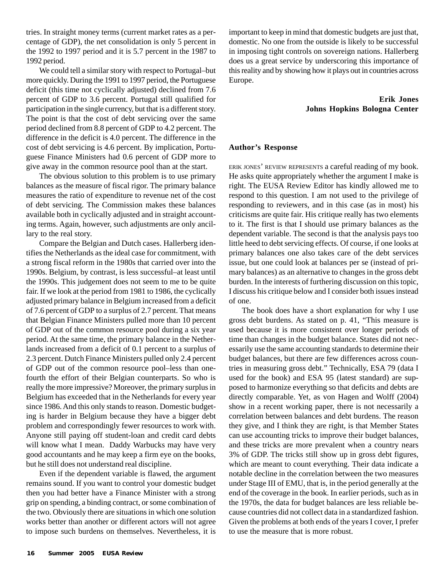tries. In straight money terms (current market rates as a percentage of GDP), the net consolidation is only 5 percent in the 1992 to 1997 period and it is 5.7 percent in the 1987 to 1992 period.

We could tell a similar story with respect to Portugal–but more quickly. During the 1991 to 1997 period, the Portuguese deficit (this time not cyclically adjusted) declined from 7.6 percent of GDP to 3.6 percent. Portugal still qualified for participation in the single currency, but that is a different story. The point is that the cost of debt servicing over the same period declined from 8.8 percent of GDP to 4.2 percent. The difference in the deficit is 4.0 percent. The difference in the cost of debt servicing is 4.6 percent. By implication, Portuguese Finance Ministers had 0.6 percent of GDP more to give away in the common resource pool than at the start.

The obvious solution to this problem is to use primary balances as the measure of fiscal rigor. The primary balance measures the ratio of expenditure to revenue net of the cost of debt servicing. The Commission makes these balances available both in cyclically adjusted and in straight accounting terms. Again, however, such adjustments are only ancillary to the real story.

Compare the Belgian and Dutch cases. Hallerberg identifies the Netherlands as the ideal case for commitment, with a strong fiscal reform in the 1980s that carried over into the 1990s. Belgium, by contrast, is less successful–at least until the 1990s. This judgement does not seem to me to be quite fair. If we look at the period from 1981 to 1986, the cyclically adjusted primary balance in Belgium increased from a deficit of 7.6 percent of GDP to a surplus of 2.7 percent. That means that Belgian Finance Ministers pulled more than 10 percent of GDP out of the common resource pool during a six year period. At the same time, the primary balance in the Netherlands increased from a deficit of 0.1 percent to a surplus of 2.3 percent. Dutch Finance Ministers pulled only 2.4 percent of GDP out of the common resource pool–less than onefourth the effort of their Belgian counterparts. So who is really the more impressive? Moreover, the primary surplus in Belgium has exceeded that in the Netherlands for every year since 1986. And this only stands to reason. Domestic budgeting is harder in Belgium because they have a bigger debt problem and correspondingly fewer resources to work with. Anyone still paying off student-loan and credit card debts will know what I mean. Daddy Warbucks may have very good accountants and he may keep a firm eye on the books, but he still does not understand real discipline.

Even if the dependent variable is flawed, the argument remains sound. If you want to control your domestic budget then you had better have a Finance Minister with a strong grip on spending, a binding contract, or some combination of the two. Obviously there are situations in which one solution works better than another or different actors will not agree to impose such burdens on themselves. Nevertheless, it is important to keep in mind that domestic budgets are just that, domestic. No one from the outside is likely to be successful in imposing tight controls on sovereign nations. Hallerberg does us a great service by underscoring this importance of this reality and by showing how it plays out in countries across Europe.

#### **Erik Jones Johns Hopkins Bologna Center**

#### **Author's Response**

ERIK JONES' REVIEW REPRESENTS a careful reading of my book. He asks quite appropriately whether the argument I make is right. The EUSA Review Editor has kindly allowed me to respond to this question. I am not used to the privilege of responding to reviewers, and in this case (as in most) his criticisms are quite fair. His critique really has two elements to it. The first is that I should use primary balances as the dependent variable. The second is that the analysis pays too little heed to debt servicing effects. Of course, if one looks at primary balances one also takes care of the debt services issue, but one could look at balances per se (instead of primary balances) as an alternative to changes in the gross debt burden. In the interests of furthering discussion on this topic, I discuss his critique below and I consider both issues instead of one.

The book does have a short explanation for why I use gross debt burdens. As stated on p. 41, "This measure is used because it is more consistent over longer periods of time than changes in the budget balance. States did not necessarily use the same accounting standards to determine their budget balances, but there are few differences across countries in measuring gross debt." Technically, ESA 79 (data I used for the book) and ESA 95 (latest standard) are supposed to harmonize everything so that deficits and debts are directly comparable. Yet, as von Hagen and Wolff (2004) show in a recent working paper, there is not necessarily a correlation between balances and debt burdens. The reason they give, and I think they are right, is that Member States can use accounting tricks to improve their budget balances, and these tricks are more prevalent when a country nears 3% of GDP. The tricks still show up in gross debt figures, which are meant to count everything. Their data indicate a notable decline in the correlation between the two measures under Stage III of EMU, that is, in the period generally at the end of the coverage in the book. In earlier periods, such as in the 1970s, the data for budget balances are less reliable because countries did not collect data in a standardized fashion. Given the problems at both ends of the years I cover, I prefer to use the measure that is more robust.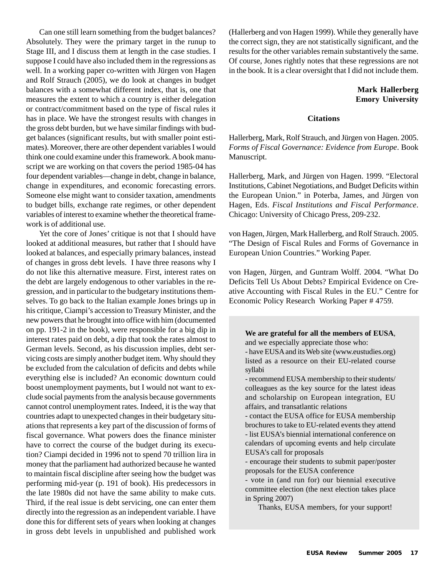Can one still learn something from the budget balances? Absolutely. They were the primary target in the runup to Stage III, and I discuss them at length in the case studies. I suppose I could have also included them in the regressions as well. In a working paper co-written with Jürgen von Hagen and Rolf Strauch (2005), we do look at changes in budget balances with a somewhat different index, that is, one that measures the extent to which a country is either delegation or contract/commitment based on the type of fiscal rules it has in place. We have the strongest results with changes in the gross debt burden, but we have similar findings with budget balances (significant results, but with smaller point estimates). Moreover, there are other dependent variables I would think one could examine under this framework. A book manuscript we are working on that covers the period 1985-04 has four dependent variables—change in debt, change in balance, change in expenditures, and economic forecasting errors. Someone else might want to consider taxation, amendments to budget bills, exchange rate regimes, or other dependent variables of interest to examine whether the theoretical framework is of additional use.

Yet the core of Jones' critique is not that I should have looked at additional measures, but rather that I should have looked at balances, and especially primary balances, instead of changes in gross debt levels. I have three reasons why I do not like this alternative measure. First, interest rates on the debt are largely endogenous to other variables in the regression, and in particular to the budgetary institutions themselves. To go back to the Italian example Jones brings up in his critique, Ciampi's accession to Treasury Minister, and the new powers that he brought into office with him (documented on pp. 191-2 in the book), were responsible for a big dip in interest rates paid on debt, a dip that took the rates almost to German levels. Second, as his discussion implies, debt servicing costs are simply another budget item. Why should they be excluded from the calculation of deficits and debts while everything else is included? An economic downturn could boost unemployment payments, but I would not want to exclude social payments from the analysis because governments cannot control unemployment rates. Indeed, it is the way that countries adapt to unexpected changes in their budgetary situations that represents a key part of the discussion of forms of fiscal governance. What powers does the finance minister have to correct the course of the budget during its execution? Ciampi decided in 1996 not to spend 70 trillion lira in money that the parliament had authorized because he wanted to maintain fiscal discipline after seeing how the budget was performing mid-year (p. 191 of book). His predecessors in the late 1980s did not have the same ability to make cuts. Third, if the real issue is debt servicing, one can enter them directly into the regression as an independent variable. I have done this for different sets of years when looking at changes in gross debt levels in unpublished and published work

(Hallerberg and von Hagen 1999). While they generally have the correct sign, they are not statistically significant, and the results for the other variables remain substantively the same. Of course, Jones rightly notes that these regressions are not in the book. It is a clear oversight that I did not include them.

#### **Mark Hallerberg Emory University**

#### **Citations**

Hallerberg, Mark, Rolf Strauch, and Jürgen von Hagen. 2005. *Forms of Fiscal Governance: Evidence from Europe*. Book Manuscript.

Hallerberg, Mark, and Jürgen von Hagen. 1999. "Electoral Institutions, Cabinet Negotiations, and Budget Deficits within the European Union." in Poterba, James, and Jürgen von Hagen, Eds. *Fiscal Institutions and Fiscal Performance*. Chicago: University of Chicago Press, 209-232.

von Hagen, Jürgen, Mark Hallerberg, and Rolf Strauch. 2005. "The Design of Fiscal Rules and Forms of Governance in European Union Countries." Working Paper.

von Hagen, Jürgen, and Guntram Wolff. 2004. "What Do Deficits Tell Us About Debts? Empirical Evidence on Creative Accounting with Fiscal Rules in the EU." Centre for Economic Policy Research Working Paper # 4759.

**We are grateful for all the members of EUSA**, and we especially appreciate those who:

- have EUSA and its Web site (www.eustudies.org) listed as a resource on their EU-related course syllabi

- recommend EUSA membership to their students/ colleagues as the key source for the latest ideas and scholarship on European integration, EU affairs, and transatlantic relations

- contact the EUSA office for EUSA membership brochures to take to EU-related events they attend - list EUSA's biennial international conference on calendars of upcoming events and help circulate EUSA's call for proposals

- encourage their students to submit paper/poster proposals for the EUSA conference

- vote in (and run for) our biennial executive committee election (the next election takes place in Spring 2007)

Thanks, EUSA members, for your support!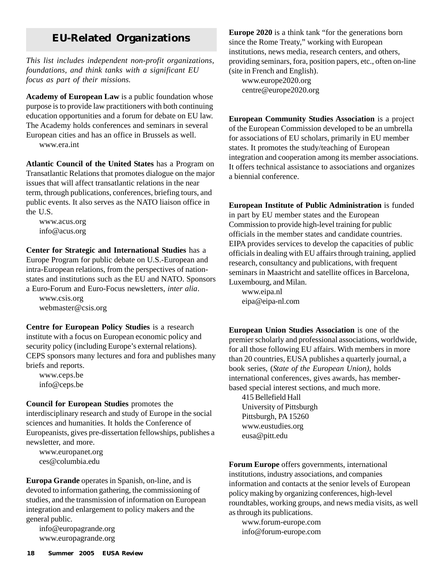# **EU-Related Organizations**

*This list includes independent non-profit organizations, foundations, and think tanks with a significant EU focus as part of their missions.*

**Academy of European Law** is a public foundation whose purpose is to provide law practitioners with both continuing education opportunities and a forum for debate on EU law. The Academy holds conferences and seminars in several European cities and has an office in Brussels as well.

www.era.int

**Atlantic Council of the United States** has a Program on Transatlantic Relations that promotes dialogue on the major issues that will affect transatlantic relations in the near term, through publications, conferences, briefing tours, and public events. It also serves as the NATO liaison office in the U.S.

www.acus.org info@acus.org

**Center for Strategic and International Studies** has a Europe Program for public debate on U.S.-European and intra-European relations, from the perspectives of nationstates and institutions such as the EU and NATO. Sponsors a Euro-Forum and Euro-Focus newsletters, *inter alia*.

www.csis.org webmaster@csis.org

**Centre for European Policy Studies** is a research institute with a focus on European economic policy and security policy (including Europe's external relations). CEPS sponsors many lectures and fora and publishes many briefs and reports.

www.ceps.be info@ceps.be

### **Council for European Studies** promotes the

interdisciplinary research and study of Europe in the social sciences and humanities. It holds the Conference of Europeanists, gives pre-dissertation fellowships, publishes a newsletter, and more.

www.europanet.org ces@columbia.edu

**Europa Grande** operates in Spanish, on-line, and is devoted to information gathering, the commissioning of studies, and the transmission of information on European integration and enlargement to policy makers and the general public.

info@europagrande.org www.europagrande.org since the Rome Treaty," working with European institutions, news media, research centers, and others, providing seminars, fora, position papers, etc., often on-line (site in French and English). www.europe2020.org centre@europe2020.org

**Europe 2020** is a think tank "for the generations born

**European Community Studies Association** is a project of the European Commission developed to be an umbrella for associations of EU scholars, primarily in EU member states. It promotes the study/teaching of European integration and cooperation among its member associations. It offers technical assistance to associations and organizes a biennial conference.

**European Institute of Public Administration** is funded in part by EU member states and the European Commission to provide high-level training for public officials in the member states and candidate countries. EIPA provides services to develop the capacities of public officials in dealing with EU affairs through training, applied research, consultancy and publications, with frequent seminars in Maastricht and satellite offices in Barcelona, Luxembourg, and Milan.

www.eipa.nl eipa@eipa-nl.com

**European Union Studies Association** is one of the premier scholarly and professional associations, worldwide, for all those following EU affairs. With members in more than 20 countries, EUSA publishes a quarterly journal, a book series, (*State of the European Union)*, holds international conferences, gives awards, has memberbased special interest sections, and much more.

415 Bellefield Hall University of Pittsburgh Pittsburgh, PA 15260 www.eustudies.org eusa@pitt.edu

**Forum Europe** offers governments, international institutions, industry associations, and companies information and contacts at the senior levels of European policy making by organizing conferences, high-level roundtables, working groups, and news media visits, as well as through its publications.

www.forum-europe.com info@forum-europe.com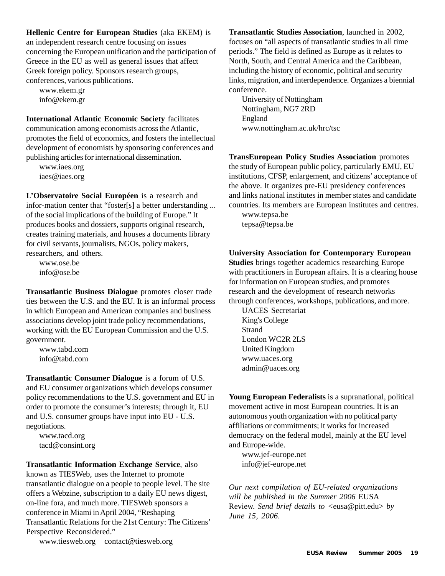**Hellenic Centre for European Studies** (aka EKEM) is an independent research centre focusing on issues concerning the European unification and the participation of Greece in the EU as well as general issues that affect Greek foreign policy. Sponsors research groups, conferences, various publications.

www.ekem.gr info@ekem.gr

**International Atlantic Economic Society** facilitates communication among economists across the Atlantic, promotes the field of economics, and fosters the intellectual development of economists by sponsoring conferences and publishing articles for international dissemination.

www.iaes.org iaes@iaes.org

**L'Observatoire Social Européen** is a research and infor-mation center that "foster[s] a better understanding ... of the social implications of the building of Europe." It produces books and dossiers, supports original research, creates training materials, and houses a documents library for civil servants, journalists, NGOs, policy makers, researchers, and others.

www.ose.be info@ose.be

**Transatlantic Business Dialogue** promotes closer trade ties between the U.S. and the EU. It is an informal process in which European and American companies and business associations develop joint trade policy recommendations, working with the EU European Commission and the U.S. government.

www.tabd.com info@tabd.com

**Transatlantic Consumer Dialogue** is a forum of U.S. and EU consumer organizations which develops consumer policy recommendations to the U.S. government and EU in order to promote the consumer's interests; through it, EU and U.S. consumer groups have input into EU - U.S. negotiations.

www.tacd.org tacd@consint.org

**Transatlantic Information Exchange Service**, also known as TIESWeb, uses the Internet to promote transatlantic dialogue on a people to people level. The site offers a Webzine, subscription to a daily EU news digest, on-line fora, and much more. TIESWeb sponsors a conference in Miami in April 2004, "Reshaping Transatlantic Relations for the 21st Century: The Citizens' Perspective Reconsidered."

www.tiesweb.org contact@tiesweb.org

**Transatlantic Studies Association**, launched in 2002, focuses on "all aspects of transatlantic studies in all time periods." The field is defined as Europe as it relates to North, South, and Central America and the Caribbean, including the history of economic, political and security links, migration, and interdependence. Organizes a biennial conference.

University of Nottingham Nottingham, NG7 2RD England www.nottingham.ac.uk/hrc/tsc

**TransEuropean Policy Studies Association** promotes the study of European public policy, particularly EMU, EU institutions, CFSP, enlargement, and citizens' acceptance of the above. It organizes pre-EU presidency conferences and links national institutes in member states and candidate countries. Its members are European institutes and centres.

www.tepsa.be tepsa@tepsa.be

### **University Association for Contemporary European**

**Studies** brings together academics researching Europe with practitioners in European affairs. It is a clearing house for information on European studies, and promotes research and the development of research networks through conferences, workshops, publications, and more.

UACES Secretariat King's College Strand London WC2R 2LS United Kingdom www.uaces.org admin@uaces.org

**Young European Federalists** is a supranational, political movement active in most European countries. It is an autonomous youth organization with no political party affiliations or commitments; it works for increased democracy on the federal model, mainly at the EU level and Europe-wide.

www.jef-europe.net info@jef-europe.net

*Our next compilation of EU-related organizations will be published in the Summer 2006* EUSA Review. *Send brief details to <*eusa@pitt.edu> *by June 15, 2006.*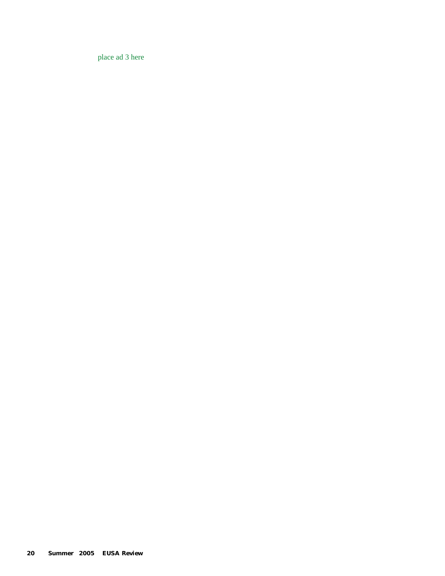place ad 3 here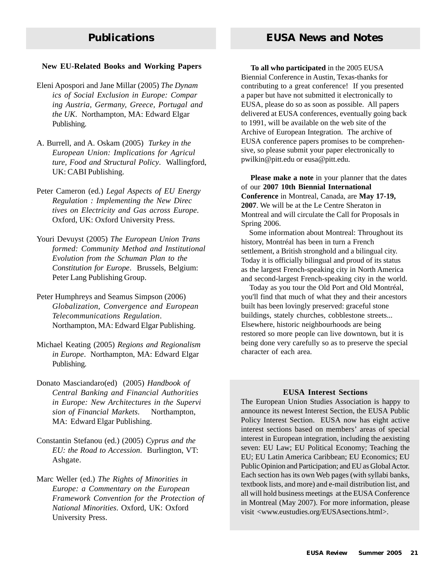#### **New EU-Related Books and Working Papers**

- Eleni Apospori and Jane Millar (2005) *The Dynam ics of Social Exclusion in Europe: Compar ing Austria, Germany, Greece, Portugal and the UK*. Northampton, MA: Edward Elgar Publishing.
- A. Burrell, and A. Oskam (2005) *Turkey in the European Union: Implications for Agricul ture, Food and Structural Policy*. Wallingford, UK: CABI Publishing.
- Peter Cameron (ed.) *Legal Aspects of EU Energy Regulation : Implementing the New Direc tives on Electricity and Gas across Europe*. Oxford, UK: Oxford University Press.
- Youri Devuyst (2005) *The European Union Trans formed: Community Method and Institutional Evolution from the Schuman Plan to the Constitution for Europe*. Brussels, Belgium: Peter Lang Publishing Group.
- Peter Humphreys and Seamus Simpson (2006) *Globalization, Convergence and European Telecommunications Regulation*. Northampton, MA: Edward Elgar Publishing.
- Michael Keating (2005) *Regions and Regionalism in Europe*. Northampton, MA: Edward Elgar Publishing.
- Donato Masciandaro(ed) (2005) *Handbook of Central Banking and Financial Authorities in Europe: New Architectures in the Supervi sion of Financial Markets*. Northampton, MA: Edward Elgar Publishing.
- Constantin Stefanou (ed.) (2005) *Cyprus and the EU: the Road to Accession*. Burlington, VT: Ashgate.
- Marc Weller (ed.) *The Rights of Minorities in Europe: a Commentary on the European Framework Convention for the Protection of National Minorities*. Oxford, UK: Oxford University Press.

 **To all who participated** in the 2005 EUSA Biennial Conference in Austin, Texas-thanks for contributing to a great conference! If you presented a paper but have not submitted it electronically to EUSA, please do so as soon as possible. All papers delivered at EUSA conferences, eventually going back to 1991, will be available on the web site of the Archive of European Integration. The archive of EUSA conference papers promises to be comprehensive, so please submit your paper electronically to pwilkin@pitt.edu or eusa@pitt.edu.

 **Please make a note** in your planner that the dates of our **2007 10th Biennial International Conference** in Montreal, Canada, are **May 17-19, 2007**. We will be at the Le Centre Sheraton in Montreal and will circulate the Call for Proposals in Spring 2006.

 Some information about Montreal: Throughout its history, Montréal has been in turn a French settlement, a British stronghold and a bilingual city. Today it is officially bilingual and proud of its status as the largest French-speaking city in North America and second-largest French-speaking city in the world.

 Today as you tour the Old Port and Old Montréal, you'll find that much of what they and their ancestors built has been lovingly preserved: graceful stone buildings, stately churches, cobblestone streets... Elsewhere, historic neighbourhoods are being restored so more people can live downtown, but it is being done very carefully so as to preserve the special character of each area.

#### **EUSA Interest Sections**

The European Union Studies Association is happy to announce its newest Interest Section, the EUSA Public Policy Interest Section. EUSA now has eight active interest sections based on members' areas of special interest in European integration, including the aexisting seven: EU Law; EU Political Economy; Teaching the EU; EU Latin America Caribbean; EU Economics; EU Public Opinion and Participation; and EU as Global Actor. Each section has its own Web pages (with syllabi banks, textbook lists, and more) and e-mail distribution list, and all will hold business meetings at the EUSA Conference in Montreal (May 2007). For more information, please visit <www.eustudies.org/EUSAsections.html>.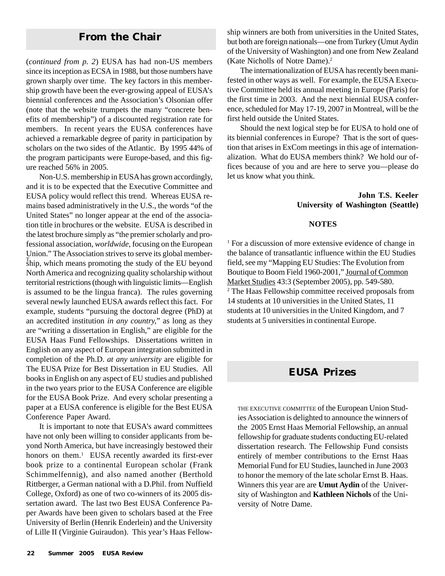# **From the Chair**

(*continued from p. 2*) EUSA has had non-US members since its inception as ECSA in 1988, but those numbers have grown sharply over time. The key factors in this membership growth have been the ever-growing appeal of EUSA's biennial conferences and the Association's Olsonian offer (note that the website trumpets the many "concrete benefits of membership") of a discounted registration rate for members. In recent years the EUSA conferences have achieved a remarkable degree of parity in participation by scholars on the two sides of the Atlantic. By 1995 44% of the program participants were Europe-based, and this figure reached 56% in 2005.

Thip, which means promoting the study of the EU beyond Non-U.S. membership in EUSA has grown accordingly, and it is to be expected that the Executive Committee and EUSA policy would reflect this trend. Whereas EUSA remains based administratively in the U.S., the words "of the United States" no longer appear at the end of the association title in brochures or the website. EUSA is described in the latest brochure simply as "the premier scholarly and professional association, *worldwide*, focusing on the European Union." The Association strives to serve its global member-North America and recognizing quality scholarship without territorial restrictions (though with linguistic limits—English is assumed to be the lingua franca). The rules governing several newly launched EUSA awards reflect this fact. For example, students "pursuing the doctoral degree (PhD) at an accredited institution *in any country,*" as long as they are "writing a dissertation in English," are eligible for the EUSA Haas Fund Fellowships. Dissertations written in English on any aspect of European integration submitted in completion of the Ph.D. *at any university* are eligible for The EUSA Prize for Best Dissertation in EU Studies. All books in English on any aspect of EU studies and published in the two years prior to the EUSA Conference are eligible for the EUSA Book Prize. And every scholar presenting a paper at a EUSA conference is eligible for the Best EUSA Conference Paper Award.

It is important to note that EUSA's award committees have not only been willing to consider applicants from beyond North America, but have increasingly bestowed their honors on them.<sup>1</sup> EUSA recently awarded its first-ever book prize to a continental European scholar (Frank Schimmelfennig), and also named another (Berthold Rittberger, a German national with a D.Phil. from Nuffield College, Oxford) as one of two co-winners of its 2005 dissertation award. The last two Best EUSA Conference Paper Awards have been given to scholars based at the Free University of Berlin (Henrik Enderlein) and the University of Lille II (Virginie Guiraudon). This year's Haas Fellowship winners are both from universities in the United States, but both are foreign nationals—one from Turkey (Umut Aydin of the University of Washington) and one from New Zealand (Kate Nicholls of Notre Dame).2

The internationalization of EUSA has recently been manifested in other ways as well. For example, the EUSA Executive Committee held its annual meeting in Europe (Paris) for the first time in 2003. And the next biennial EUSA conference, scheduled for May 17-19, 2007 in Montreal, will be the first held outside the United States.

Should the next logical step be for EUSA to hold one of its biennial conferences in Europe? That is the sort of question that arises in ExCom meetings in this age of internationalization. What do EUSA members think? We hold our offices because of you and are here to serve you—please do let us know what you think.

#### **John T.S. Keeler University of Washington (Seattle)**

#### **NOTES**

<sup>1</sup> For a discussion of more extensive evidence of change in the balance of transatlantic influence within the EU Studies field, see my "Mapping EU Studies: The Evolution from Boutique to Boom Field 1960-2001," Journal of Common Market Studies 43:3 (September 2005), pp. 549-580. 2 The Haas Fellowship committee received proposals from 14 students at 10 universities in the United States, 11 students at 10 universities in the United Kingdom, and 7 students at 5 universities in continental Europe.

# **EUSA Prizes**

THE EXECUTIVE COMMITTEE of the European Union Studies Association is delighted to announce the winners of the 2005 Ernst Haas Memorial Fellowship, an annual fellowship for graduate students conducting EU-related dissertation research. The Fellowship Fund consists entirely of member contributions to the Ernst Haas Memorial Fund for EU Studies, launched in June 2003 to honor the memory of the late scholar Ernst B. Haas. Winners this year are are **Umut Aydin** of the University of Washington and **Kathleen Nichols** of the University of Notre Dame.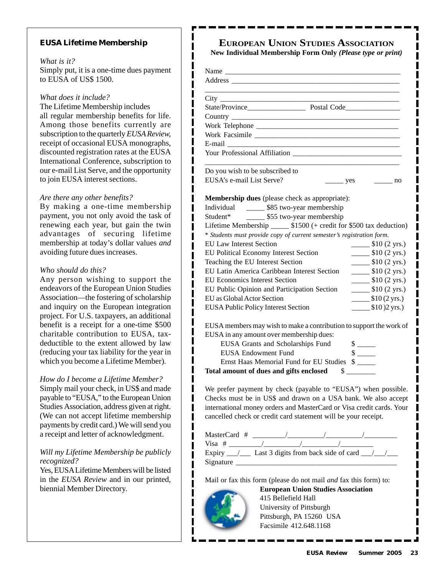#### **EUSA Lifetime Membership**

#### *What is it?*

Simply put, it is a one-time dues payment to EUSA of US\$ 1500.

ı ı

*What does it include?*

The Lifetime Membership includes all regular membership benefits for life. Among those benefits currently are subscription to the quarterly *EUSA Review,* receipt of occasional EUSA monographs, discounted registration rates at the EUSA International Conference, subscription to our e-mail List Serve, and the opportunity to join EUSA interest sections.

#### *Are there any other benefits?*

By making a one-time membership payment, you not only avoid the task of renewing each year, but gain the twin advantages of securing lifetime membership at today's dollar values *and* avoiding future dues increases.

#### *Who should do this?*

Any person wishing to support the endeavors of the European Union Studies Association—the fostering of scholarship and inquiry on the European integration project. For U.S. taxpayers, an additional benefit is a receipt for a one-time \$500 charitable contribution to EUSA, taxdeductible to the extent allowed by law (reducing your tax liability for the year in which you become a Lifetime Member).

#### *How do I become a Lifetime Member?*

Simply mail your check, in US\$ and made payable to "EUSA," to the European Union Studies Association, address given at right. (We can not accept lifetime membership payments by credit card.) We will send you a receipt and letter of acknowledgment.

#### *Will my Lifetime Membership be publicly recognized?*

Yes, EUSA Lifetime Members will be listed in the *EUSA Review* and in our printed, biennial Member Directory.

# **EUROPEAN UNION STUDIES ASSOCIATION**

**New Individual Membership Form Only** *(Please type or print)*

| Do you wish to be subscribed to            |                                                                       |                                                             |
|--------------------------------------------|-----------------------------------------------------------------------|-------------------------------------------------------------|
| EUSA's e-mail List Serve?                  | $\frac{\ }{\ }$ yes                                                   | $\frac{1}{\sqrt{1-\frac{1}{2}}}\ln 0$                       |
|                                            | <b>Membership dues</b> (please check as appropriate):                 |                                                             |
|                                            | Individual ________ \$85 two-year membership                          |                                                             |
|                                            | Student* ________ \$55 two-year membership                            |                                                             |
|                                            | Lifetime Membership _______ \$1500 (+ credit for \$500 tax deduction) |                                                             |
|                                            | * Students must provide copy of current semester's registration form. |                                                             |
| <b>EU Law Interest Section</b>             |                                                                       | $\frac{\text{I}}{\text{I}}$ \$10 (2 yrs.)                   |
| EU Political Economy Interest Section      |                                                                       | $\frac{\text{I}}{\text{I}}(2 \text{ yrs.})$                 |
| Teaching the EU Interest Section           |                                                                       | $\frac{\text{I}}{\text{I}}$ \$10 (2 yrs.)                   |
|                                            | EU Latin America Caribbean Interest Section                           | $\frac{\text{I}}{\text{I}}$ \$10 (2 yrs.)                   |
| <b>EU Economics Interest Section</b>       |                                                                       | $\frac{\text{S10}}{2 \text{ yrs.}}$                         |
|                                            | EU Public Opinion and Participation Section                           | $\frac{\text{I}}{\text{I}}(2 \text{ yrs.})$                 |
| EU as Global Actor Section                 |                                                                       | $\frac{\text{I}(2 \text{ yrs.})}{\text{I}(2 \text{ yrs.})}$ |
| <b>EUSA Public Policy Interest Section</b> |                                                                       | $\frac{\text{I}}{\text{I}}(0)2 \text{ yrs.}$                |
|                                            | EUSA members may wish to make a contribution to support the work of   |                                                             |
|                                            | EUSA in any amount over membership dues:                              |                                                             |
|                                            | EUSA Grants and Scholarships Fund                                     |                                                             |
| <b>EUSA Endowment Fund</b>                 |                                                                       | $\frac{\sqrt{2}}{2}$                                        |
|                                            | Ernst Haas Memorial Fund for EU Studies \$                            |                                                             |
|                                            | Total amount of dues and gifts enclosed \$                            |                                                             |
|                                            | We prefer payment by check (payable to "EUSA") when possible.         |                                                             |
|                                            | Checks must be in US\$ and drawn on a USA bank. We also accept        |                                                             |
|                                            | international money orders and MasterCard or Visa credit cards. Your  |                                                             |
|                                            | cancelled check or credit card statement will be your receipt.        |                                                             |

Signature

 $\blacksquare$ ı I

Mail or fax this form (please do not mail *and* fax this form) to:



**European Union Studies Association** 415 Bellefield Hall University of Pittsburgh Pittsburgh, PA 15260 USA Facsimile 412.648.1168